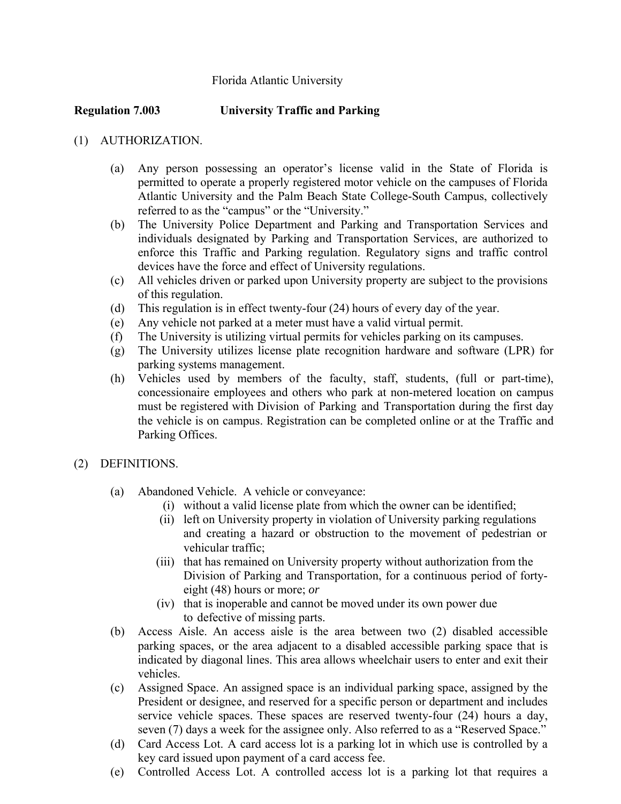### Florida Atlantic University

## **Regulation 7.003 University Traffic and Parking**

### (1) AUTHORIZATION.

- (a) Any person possessing an operator's license valid in the State of Florida is permitted to operate a properly registered motor vehicle on the campuses of Florida Atlantic University and the Palm Beach State College-South Campus, collectively referred to as the "campus" or the "University."
- (b) The University Police Department and Parking and Transportation Services and individuals designated by Parking and Transportation Services, are authorized to enforce this Traffic and Parking regulation. Regulatory signs and traffic control devices have the force and effect of University regulations.
- (c) All vehicles driven or parked upon University property are subject to the provisions of this regulation.
- (d) This regulation is in effect twenty-four (24) hours of every day of the year.
- (e) Any vehicle not parked at a meter must have a valid virtual permit.
- (f) The University is utilizing virtual permits for vehicles parking on its campuses.
- (g) The University utilizes license plate recognition hardware and software (LPR) for parking systems management.
- (h) Vehicles used by members of the faculty, staff, students, (full or part-time), concessionaire employees and others who park at non-metered location on campus must be registered with Division of Parking and Transportation during the first day the vehicle is on campus. Registration can be completed online or at the Traffic and Parking Offices.

### (2) DEFINITIONS.

- (a) Abandoned Vehicle. A vehicle or conveyance:
	- (i) without a valid license plate from which the owner can be identified;
	- (ii) left on University property in violation of University parking regulations and creating a hazard or obstruction to the movement of pedestrian or vehicular traffic;
	- (iii) that has remained on University property without authorization from the Division of Parking and Transportation, for a continuous period of fortyeight (48) hours or more; *or*
	- (iv) that is inoperable and cannot be moved under its own power due to defective of missing parts.
- (b) Access Aisle. An access aisle is the area between two (2) disabled accessible parking spaces, or the area adjacent to a disabled accessible parking space that is indicated by diagonal lines. This area allows wheelchair users to enter and exit their vehicles.
- (c) Assigned Space. An assigned space is an individual parking space, assigned by the President or designee, and reserved for a specific person or department and includes service vehicle spaces. These spaces are reserved twenty-four (24) hours a day, seven (7) days a week for the assignee only. Also referred to as a "Reserved Space."
- (d) Card Access Lot. A card access lot is a parking lot in which use is controlled by a key card issued upon payment of a card access fee.
- (e) Controlled Access Lot. A controlled access lot is a parking lot that requires a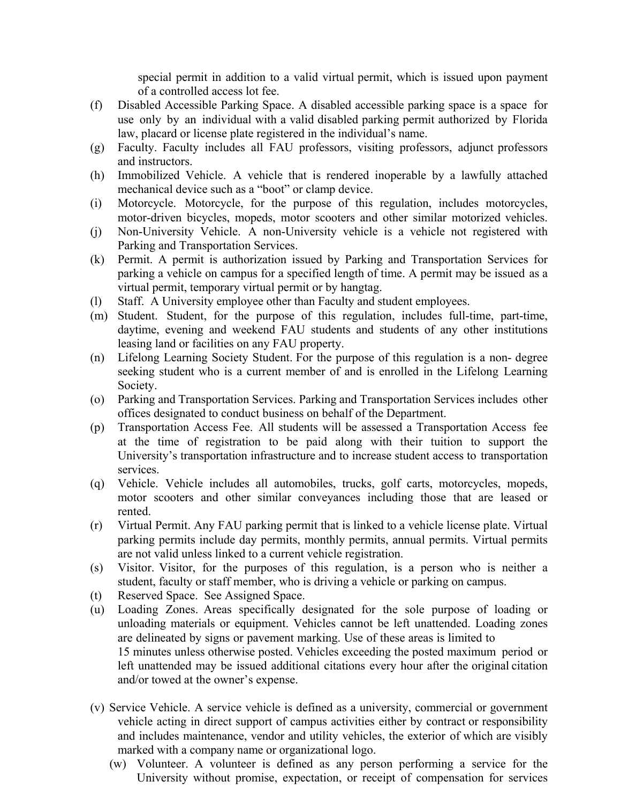special permit in addition to a valid virtual permit, which is issued upon payment of a controlled access lot fee.

- (f) Disabled Accessible Parking Space. A disabled accessible parking space is a space for use only by an individual with a valid disabled parking permit authorized by Florida law, placard or license plate registered in the individual's name.
- (g) Faculty. Faculty includes all FAU professors, visiting professors, adjunct professors and instructors.
- (h) Immobilized Vehicle. A vehicle that is rendered inoperable by a lawfully attached mechanical device such as a "boot" or clamp device.
- (i) Motorcycle. Motorcycle, for the purpose of this regulation, includes motorcycles, motor-driven bicycles, mopeds, motor scooters and other similar motorized vehicles.
- (j) Non-University Vehicle. A non-University vehicle is a vehicle not registered with Parking and Transportation Services.
- (k) Permit. A permit is authorization issued by Parking and Transportation Services for parking a vehicle on campus for a specified length of time. A permit may be issued as a virtual permit, temporary virtual permit or by hangtag.
- (l) Staff. A University employee other than Faculty and student employees.
- (m) Student. Student, for the purpose of this regulation, includes full-time, part-time, daytime, evening and weekend FAU students and students of any other institutions leasing land or facilities on any FAU property.
- (n) Lifelong Learning Society Student. For the purpose of this regulation is a non- degree seeking student who is a current member of and is enrolled in the Lifelong Learning Society.
- (o) Parking and Transportation Services. Parking and Transportation Services includes other offices designated to conduct business on behalf of the Department.
- (p) Transportation Access Fee. All students will be assessed a Transportation Access fee at the time of registration to be paid along with their tuition to support the University's transportation infrastructure and to increase student access to transportation services.
- (q) Vehicle. Vehicle includes all automobiles, trucks, golf carts, motorcycles, mopeds, motor scooters and other similar conveyances including those that are leased or rented.
- (r) Virtual Permit. Any FAU parking permit that is linked to a vehicle license plate. Virtual parking permits include day permits, monthly permits, annual permits. Virtual permits are not valid unless linked to a current vehicle registration.
- (s) Visitor. Visitor, for the purposes of this regulation, is a person who is neither a student, faculty or staff member, who is driving a vehicle or parking on campus.
- (t) Reserved Space. See Assigned Space.
- (u) Loading Zones. Areas specifically designated for the sole purpose of loading or unloading materials or equipment. Vehicles cannot be left unattended. Loading zones are delineated by signs or pavement marking. Use of these areas is limited to 15 minutes unless otherwise posted. Vehicles exceeding the posted maximum period or left unattended may be issued additional citations every hour after the original citation and/or towed at the owner's expense.
- (v) Service Vehicle. A service vehicle is defined as a university, commercial or government vehicle acting in direct support of campus activities either by contract or responsibility and includes maintenance, vendor and utility vehicles, the exterior of which are visibly marked with a company name or organizational logo.
	- (w) Volunteer. A volunteer is defined as any person performing a service for the University without promise, expectation, or receipt of compensation for services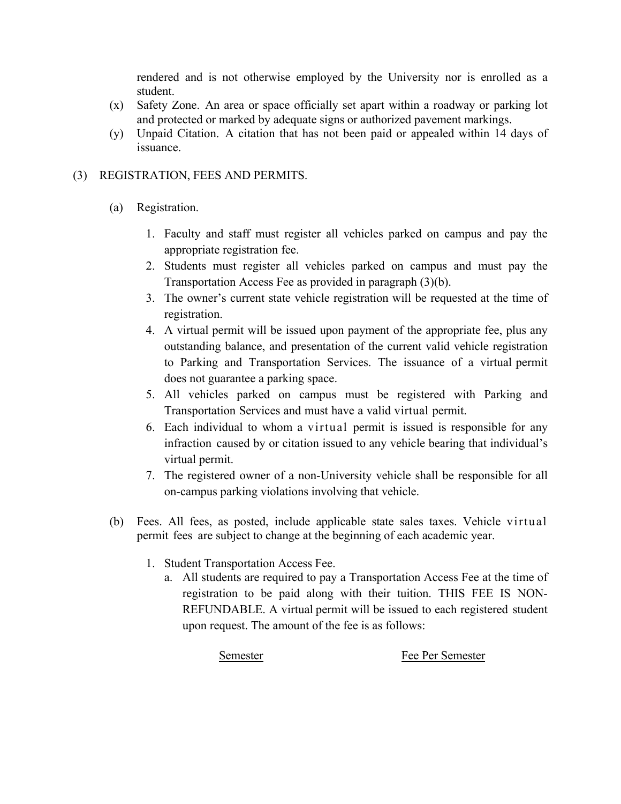rendered and is not otherwise employed by the University nor is enrolled as a student.

- (x) Safety Zone. An area or space officially set apart within a roadway or parking lot and protected or marked by adequate signs or authorized pavement markings.
- (y) Unpaid Citation. A citation that has not been paid or appealed within 14 days of issuance.

## (3) REGISTRATION, FEES AND PERMITS.

- (a) Registration.
	- 1. Faculty and staff must register all vehicles parked on campus and pay the appropriate registration fee.
	- 2. Students must register all vehicles parked on campus and must pay the Transportation Access Fee as provided in paragraph (3)(b).
	- 3. The owner's current state vehicle registration will be requested at the time of registration.
	- 4. A virtual permit will be issued upon payment of the appropriate fee, plus any outstanding balance, and presentation of the current valid vehicle registration to Parking and Transportation Services. The issuance of a virtual permit does not guarantee a parking space.
	- 5. All vehicles parked on campus must be registered with Parking and Transportation Services and must have a valid virtual permit.
	- 6. Each individual to whom a virtual permit is issued is responsible for any infraction caused by or citation issued to any vehicle bearing that individual's virtual permit.
	- 7. The registered owner of a non-University vehicle shall be responsible for all on-campus parking violations involving that vehicle.
- (b) Fees. All fees, as posted, include applicable state sales taxes. Vehicle virtual permit fees are subject to change at the beginning of each academic year.
	- 1. Student Transportation Access Fee.
		- a. All students are required to pay a Transportation Access Fee at the time of registration to be paid along with their tuition. THIS FEE IS NON-REFUNDABLE. A virtual permit will be issued to each registered student upon request. The amount of the fee is as follows:

Semester Fee Per Semester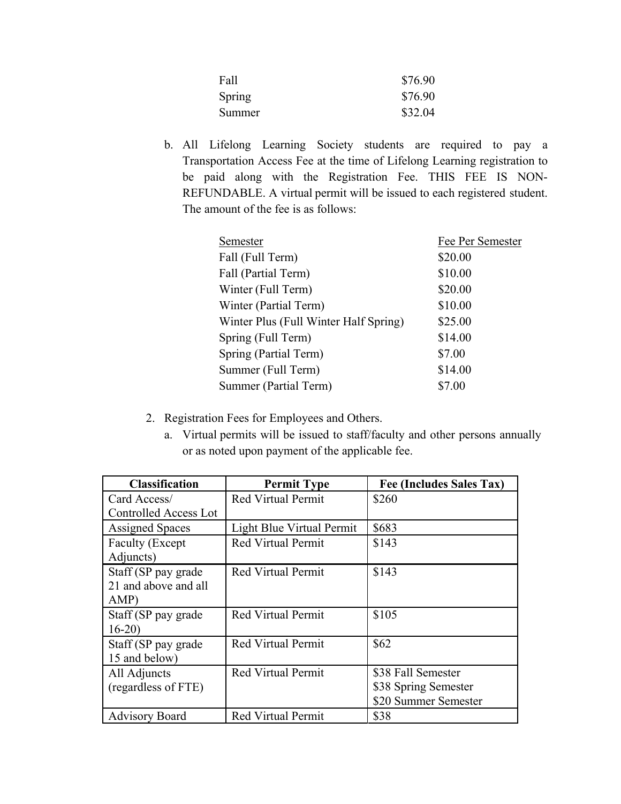| Fall   | \$76.90 |
|--------|---------|
| Spring | \$76.90 |
| Summer | \$32.04 |

b. All Lifelong Learning Society students are required to pay a Transportation Access Fee at the time of Lifelong Learning registration to be paid along with the Registration Fee. THIS FEE IS NON-REFUNDABLE. A virtual permit will be issued to each registered student. The amount of the fee is as follows:

| Semester                              | Fee Per Semester |
|---------------------------------------|------------------|
| Fall (Full Term)                      | \$20.00          |
| Fall (Partial Term)                   | \$10.00          |
| Winter (Full Term)                    | \$20.00          |
| Winter (Partial Term)                 | \$10.00          |
| Winter Plus (Full Winter Half Spring) | \$25.00          |
| Spring (Full Term)                    | \$14.00          |
| Spring (Partial Term)                 | \$7.00           |
| Summer (Full Term)                    | \$14.00          |
| Summer (Partial Term)                 | \$7.00           |
|                                       |                  |

- 2. Registration Fees for Employees and Others.
	- a. Virtual permits will be issued to staff/faculty and other persons annually or as noted upon payment of the applicable fee.

| <b>Classification</b>        | <b>Permit Type</b>        | Fee (Includes Sales Tax) |
|------------------------------|---------------------------|--------------------------|
| Card Access/                 | <b>Red Virtual Permit</b> | \$260                    |
| <b>Controlled Access Lot</b> |                           |                          |
| <b>Assigned Spaces</b>       | Light Blue Virtual Permit | \$683                    |
| <b>Faculty (Except)</b>      | <b>Red Virtual Permit</b> | \$143                    |
| Adjuncts)                    |                           |                          |
| Staff (SP pay grade          | Red Virtual Permit        | \$143                    |
| 21 and above and all         |                           |                          |
| AMP)                         |                           |                          |
| Staff (SP pay grade          | <b>Red Virtual Permit</b> | \$105                    |
| $16-20$                      |                           |                          |
| Staff (SP pay grade          | <b>Red Virtual Permit</b> | \$62                     |
| 15 and below)                |                           |                          |
| All Adjuncts                 | <b>Red Virtual Permit</b> | \$38 Fall Semester       |
| (regardless of FTE)          |                           | \$38 Spring Semester     |
|                              |                           | \$20 Summer Semester     |
| <b>Advisory Board</b>        | <b>Red Virtual Permit</b> | \$38                     |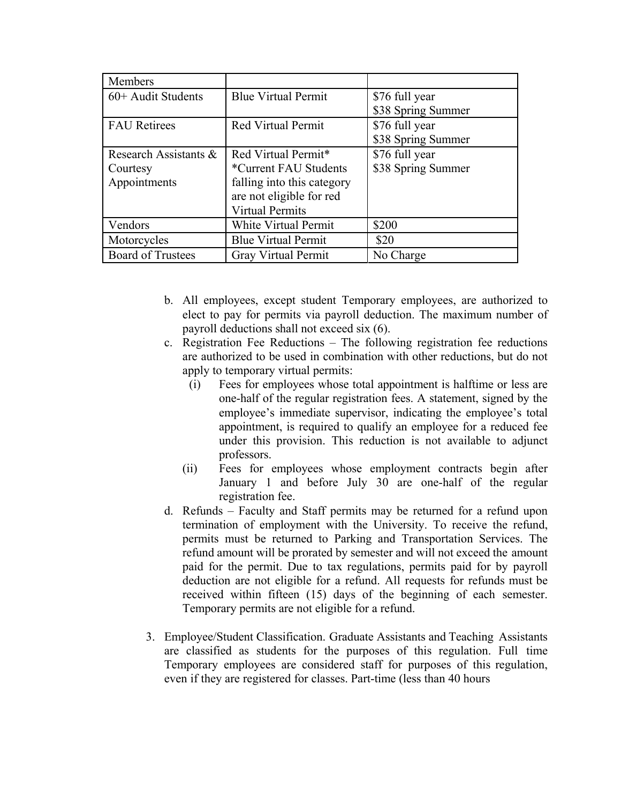| Members                  |                             |                    |
|--------------------------|-----------------------------|--------------------|
| $60+$ Audit Students     | <b>Blue Virtual Permit</b>  | \$76 full year     |
|                          |                             | \$38 Spring Summer |
| <b>FAU</b> Retirees      | <b>Red Virtual Permit</b>   | \$76 full year     |
|                          |                             | \$38 Spring Summer |
| Research Assistants &    | Red Virtual Permit*         | \$76 full year     |
| Courtesy                 | *Current FAU Students       | \$38 Spring Summer |
| Appointments             | falling into this category  |                    |
|                          | are not eligible for red    |                    |
|                          | <b>Virtual Permits</b>      |                    |
| Vendors                  | <b>White Virtual Permit</b> | \$200              |
| Motorcycles              | <b>Blue Virtual Permit</b>  | \$20               |
| <b>Board of Trustees</b> | <b>Gray Virtual Permit</b>  | No Charge          |

- b. All employees, except student Temporary employees, are authorized to elect to pay for permits via payroll deduction. The maximum number of payroll deductions shall not exceed six (6).
- c. Registration Fee Reductions The following registration fee reductions are authorized to be used in combination with other reductions, but do not apply to temporary virtual permits:
	- (i) Fees for employees whose total appointment is halftime or less are one-half of the regular registration fees. A statement, signed by the employee's immediate supervisor, indicating the employee's total appointment, is required to qualify an employee for a reduced fee under this provision. This reduction is not available to adjunct professors.
	- (ii) Fees for employees whose employment contracts begin after January 1 and before July 30 are one-half of the regular registration fee.
- d. Refunds Faculty and Staff permits may be returned for a refund upon termination of employment with the University. To receive the refund, permits must be returned to Parking and Transportation Services. The refund amount will be prorated by semester and will not exceed the amount paid for the permit. Due to tax regulations, permits paid for by payroll deduction are not eligible for a refund. All requests for refunds must be received within fifteen (15) days of the beginning of each semester. Temporary permits are not eligible for a refund.
- 3. Employee/Student Classification. Graduate Assistants and Teaching Assistants are classified as students for the purposes of this regulation. Full time Temporary employees are considered staff for purposes of this regulation, even if they are registered for classes. Part-time (less than 40 hours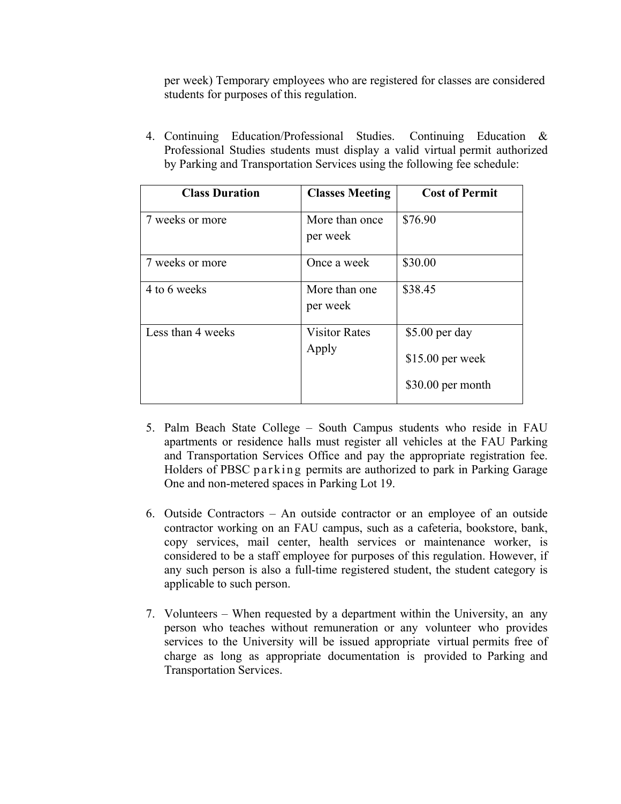per week) Temporary employees who are registered for classes are considered students for purposes of this regulation.

4. Continuing Education/Professional Studies. Continuing Education & Professional Studies students must display a valid virtual permit authorized by Parking and Transportation Services using the following fee schedule:

| <b>Class Duration</b> | <b>Classes Meeting</b>        | <b>Cost of Permit</b> |
|-----------------------|-------------------------------|-----------------------|
| 7 weeks or more       | More than once<br>per week    | \$76.90               |
| 7 weeks or more       | Once a week                   | \$30.00               |
| 4 to 6 weeks          | More than one<br>per week     | \$38.45               |
| Less than 4 weeks     | <b>Visitor Rates</b><br>Apply | $$5.00$ per day       |
|                       |                               | $$15.00$ per week     |
|                       |                               | \$30.00 per month     |

- 5. Palm Beach State College South Campus students who reside in FAU apartments or residence halls must register all vehicles at the FAU Parking and Transportation Services Office and pay the appropriate registration fee. Holders of PBSC parking permits are authorized to park in Parking Garage One and non-metered spaces in Parking Lot 19.
- 6. Outside Contractors An outside contractor or an employee of an outside contractor working on an FAU campus, such as a cafeteria, bookstore, bank, copy services, mail center, health services or maintenance worker, is considered to be a staff employee for purposes of this regulation. However, if any such person is also a full-time registered student, the student category is applicable to such person.
- 7. Volunteers When requested by a department within the University, an any person who teaches without remuneration or any volunteer who provides services to the University will be issued appropriate virtual permits free of charge as long as appropriate documentation is provided to Parking and Transportation Services.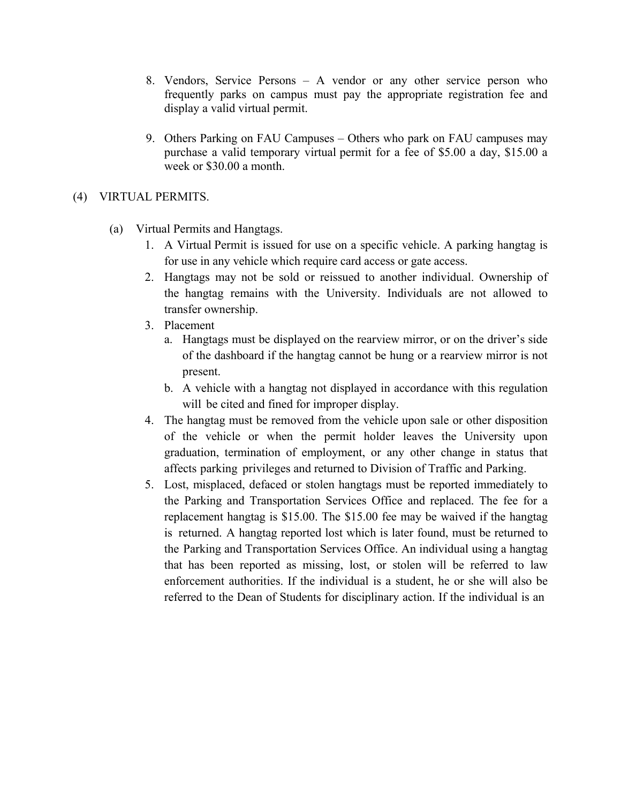- 8. Vendors, Service Persons A vendor or any other service person who frequently parks on campus must pay the appropriate registration fee and display a valid virtual permit.
- 9. Others Parking on FAU Campuses Others who park on FAU campuses may purchase a valid temporary virtual permit for a fee of \$5.00 a day, \$15.00 a week or \$30.00 a month.

## (4) VIRTUAL PERMITS.

- (a) Virtual Permits and Hangtags.
	- 1. A Virtual Permit is issued for use on a specific vehicle. A parking hangtag is for use in any vehicle which require card access or gate access.
	- 2. Hangtags may not be sold or reissued to another individual. Ownership of the hangtag remains with the University. Individuals are not allowed to transfer ownership.
	- 3. Placement
		- a. Hangtags must be displayed on the rearview mirror, or on the driver's side of the dashboard if the hangtag cannot be hung or a rearview mirror is not present.
		- b. A vehicle with a hangtag not displayed in accordance with this regulation will be cited and fined for improper display.
	- 4. The hangtag must be removed from the vehicle upon sale or other disposition of the vehicle or when the permit holder leaves the University upon graduation, termination of employment, or any other change in status that affects parking privileges and returned to Division of Traffic and Parking.
	- 5. Lost, misplaced, defaced or stolen hangtags must be reported immediately to the Parking and Transportation Services Office and replaced. The fee for a replacement hangtag is \$15.00. The \$15.00 fee may be waived if the hangtag is returned. A hangtag reported lost which is later found, must be returned to the Parking and Transportation Services Office. An individual using a hangtag that has been reported as missing, lost, or stolen will be referred to law enforcement authorities. If the individual is a student, he or she will also be referred to the Dean of Students for disciplinary action. If the individual is an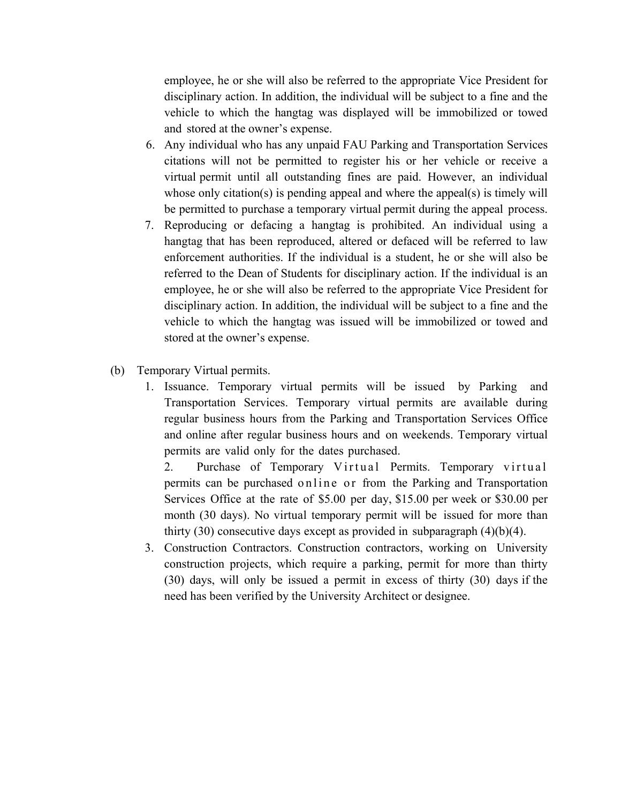employee, he or she will also be referred to the appropriate Vice President for disciplinary action. In addition, the individual will be subject to a fine and the vehicle to which the hangtag was displayed will be immobilized or towed and stored at the owner's expense.

- 6. Any individual who has any unpaid FAU Parking and Transportation Services citations will not be permitted to register his or her vehicle or receive a virtual permit until all outstanding fines are paid. However, an individual whose only citation(s) is pending appeal and where the appeal(s) is timely will be permitted to purchase a temporary virtual permit during the appeal process.
- 7. Reproducing or defacing a hangtag is prohibited. An individual using a hangtag that has been reproduced, altered or defaced will be referred to law enforcement authorities. If the individual is a student, he or she will also be referred to the Dean of Students for disciplinary action. If the individual is an employee, he or she will also be referred to the appropriate Vice President for disciplinary action. In addition, the individual will be subject to a fine and the vehicle to which the hangtag was issued will be immobilized or towed and stored at the owner's expense.
- (b) Temporary Virtual permits.
	- 1. Issuance. Temporary virtual permits will be issued by Parking and Transportation Services. Temporary virtual permits are available during regular business hours from the Parking and Transportation Services Office and online after regular business hours and on weekends. Temporary virtual permits are valid only for the dates purchased.

2. Purchase of Temporary Virtual Permits. Temporary virtual permits can be purchased on line or from the Parking and Transportation Services Office at the rate of \$5.00 per day, \$15.00 per week or \$30.00 per month (30 days). No virtual temporary permit will be issued for more than thirty  $(30)$  consecutive days except as provided in subparagraph  $(4)(b)(4)$ .

3. Construction Contractors. Construction contractors, working on University construction projects, which require a parking, permit for more than thirty (30) days, will only be issued a permit in excess of thirty (30) days if the need has been verified by the University Architect or designee.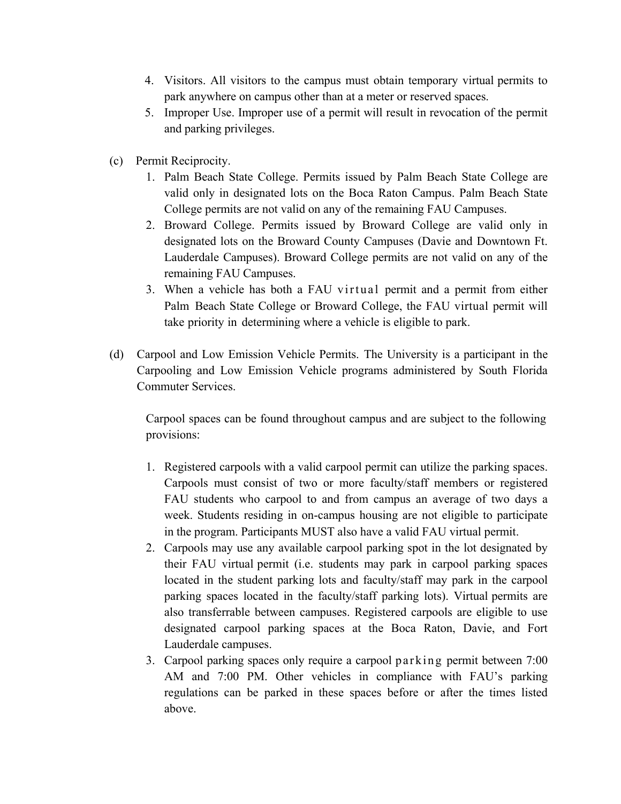- 4. Visitors. All visitors to the campus must obtain temporary virtual permits to park anywhere on campus other than at a meter or reserved spaces.
- 5. Improper Use. Improper use of a permit will result in revocation of the permit and parking privileges.
- (c) Permit Reciprocity.
	- 1. Palm Beach State College. Permits issued by Palm Beach State College are valid only in designated lots on the Boca Raton Campus. Palm Beach State College permits are not valid on any of the remaining FAU Campuses.
	- 2. Broward College. Permits issued by Broward College are valid only in designated lots on the Broward County Campuses (Davie and Downtown Ft. Lauderdale Campuses). Broward College permits are not valid on any of the remaining FAU Campuses.
	- 3. When a vehicle has both a FAU virtual permit and a permit from either Palm Beach State College or Broward College, the FAU virtual permit will take priority in determining where a vehicle is eligible to park.
- (d) Carpool and Low Emission Vehicle Permits. The University is a participant in the Carpooling and Low Emission Vehicle programs administered by South Florida Commuter Services.

Carpool spaces can be found throughout campus and are subject to the following provisions:

- 1. Registered carpools with a valid carpool permit can utilize the parking spaces. Carpools must consist of two or more faculty/staff members or registered FAU students who carpool to and from campus an average of two days a week. Students residing in on-campus housing are not eligible to participate in the program. Participants MUST also have a valid FAU virtual permit.
- 2. Carpools may use any available carpool parking spot in the lot designated by their FAU virtual permit (i.e. students may park in carpool parking spaces located in the student parking lots and faculty/staff may park in the carpool parking spaces located in the faculty/staff parking lots). Virtual permits are also transferrable between campuses. Registered carpools are eligible to use designated carpool parking spaces at the Boca Raton, Davie, and Fort Lauderdale campuses.
- 3. Carpool parking spaces only require a carpool parking permit between 7:00 AM and 7:00 PM. Other vehicles in compliance with FAU's parking regulations can be parked in these spaces before or after the times listed above.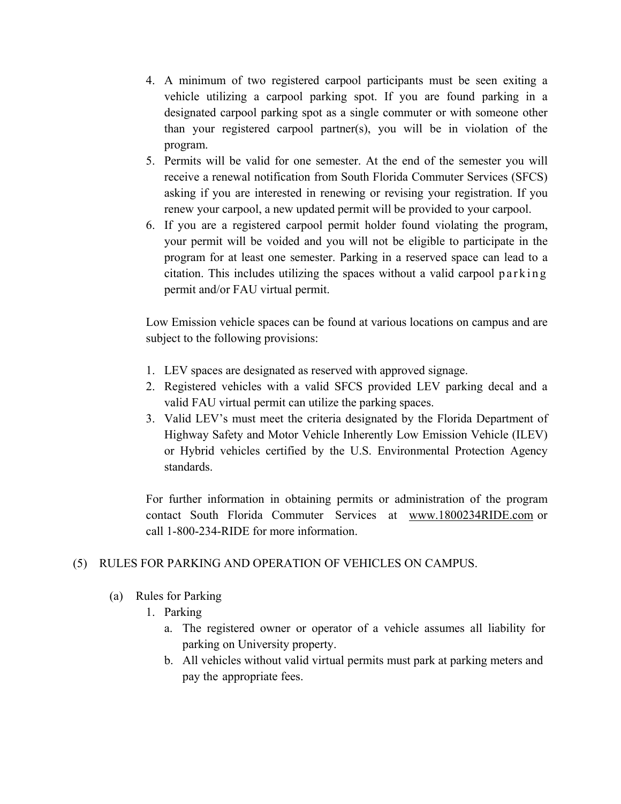- 4. A minimum of two registered carpool participants must be seen exiting a vehicle utilizing a carpool parking spot. If you are found parking in a designated carpool parking spot as a single commuter or with someone other than your registered carpool partner(s), you will be in violation of the program.
- 5. Permits will be valid for one semester. At the end of the semester you will receive a renewal notification from South Florida Commuter Services (SFCS) asking if you are interested in renewing or revising your registration. If you renew your carpool, a new updated permit will be provided to your carpool.
- 6. If you are a registered carpool permit holder found violating the program, your permit will be voided and you will not be eligible to participate in the program for at least one semester. Parking in a reserved space can lead to a citation. This includes utilizing the spaces without a valid carpool parking permit and/or FAU virtual permit.

Low Emission vehicle spaces can be found at various locations on campus and are subject to the following provisions:

- 1. LEV spaces are designated as reserved with approved signage.
- 2. Registered vehicles with a valid SFCS provided LEV parking decal and a valid FAU virtual permit can utilize the parking spaces.
- 3. Valid LEV's must meet the criteria designated by the Florida Department of Highway Safety and Motor Vehicle Inherently Low Emission Vehicle (ILEV) or Hybrid vehicles certified by the U.S. Environmental Protection Agency standards.

For further information in obtaining permits or administration of the program contact South Florida Commuter Services at www.1800234RIDE.com or call 1-800-234-RIDE for more information.

# (5) RULES FOR PARKING AND OPERATION OF VEHICLES ON CAMPUS.

- (a) Rules for Parking
	- 1. Parking
		- a. The registered owner or operator of a vehicle assumes all liability for parking on University property.
		- b. All vehicles without valid virtual permits must park at parking meters and pay the appropriate fees.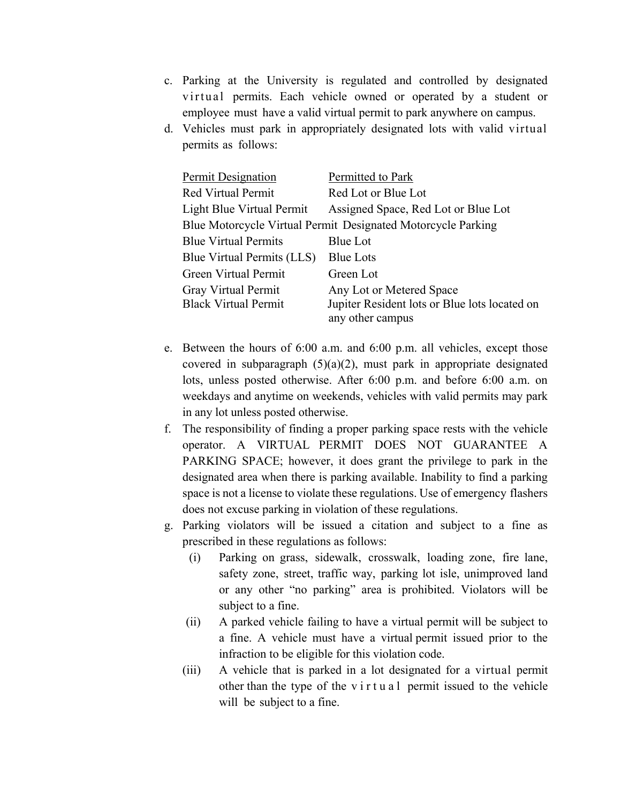- c. Parking at the University is regulated and controlled by designated virtual permits. Each vehicle owned or operated by a student or employee must have a valid virtual permit to park anywhere on campus.
- d. Vehicles must park in appropriately designated lots with valid virtual permits as follows:

| Permit Designation          | Permitted to Park                                                 |
|-----------------------------|-------------------------------------------------------------------|
| <b>Red Virtual Permit</b>   | Red Lot or Blue Lot                                               |
| Light Blue Virtual Permit   | Assigned Space, Red Lot or Blue Lot                               |
|                             | Blue Motorcycle Virtual Permit Designated Motorcycle Parking      |
| <b>Blue Virtual Permits</b> | <b>Blue Lot</b>                                                   |
| Blue Virtual Permits (LLS)  | <b>Blue Lots</b>                                                  |
| Green Virtual Permit        | Green Lot                                                         |
| Gray Virtual Permit         | Any Lot or Metered Space                                          |
| <b>Black Virtual Permit</b> | Jupiter Resident lots or Blue lots located on<br>any other campus |

- e. Between the hours of 6:00 a.m. and 6:00 p.m. all vehicles, except those covered in subparagraph  $(5)(a)(2)$ , must park in appropriate designated lots, unless posted otherwise. After 6:00 p.m. and before 6:00 a.m. on weekdays and anytime on weekends, vehicles with valid permits may park in any lot unless posted otherwise.
- f. The responsibility of finding a proper parking space rests with the vehicle operator. A VIRTUAL PERMIT DOES NOT GUARANTEE A PARKING SPACE; however, it does grant the privilege to park in the designated area when there is parking available. Inability to find a parking space is not a license to violate these regulations. Use of emergency flashers does not excuse parking in violation of these regulations.
- g. Parking violators will be issued a citation and subject to a fine as prescribed in these regulations as follows:
	- (i) Parking on grass, sidewalk, crosswalk, loading zone, fire lane, safety zone, street, traffic way, parking lot isle, unimproved land or any other "no parking" area is prohibited. Violators will be subject to a fine.
	- (ii) A parked vehicle failing to have a virtual permit will be subject to a fine. A vehicle must have a virtual permit issued prior to the infraction to be eligible for this violation code.
	- (iii) A vehicle that is parked in a lot designated for a virtual permit other than the type of the v i r t u a l permit issued to the vehicle will be subject to a fine.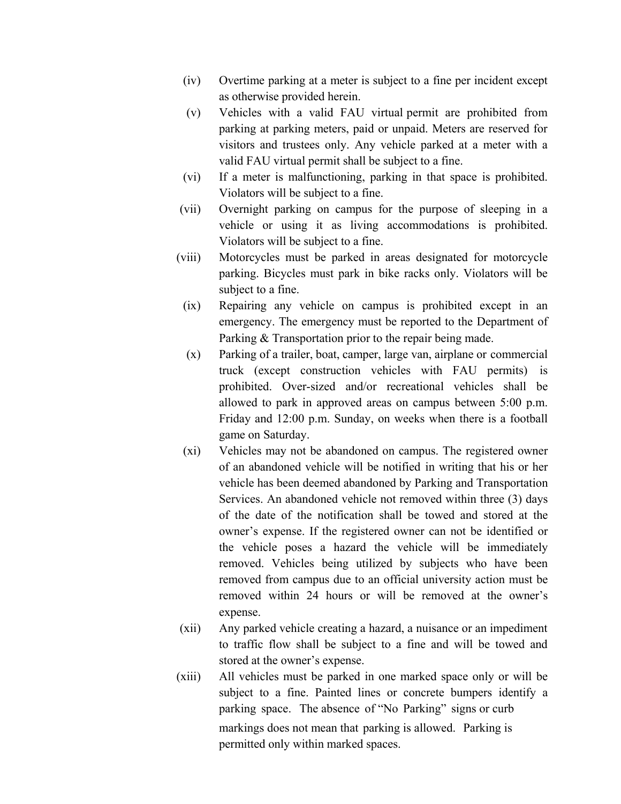- (iv) Overtime parking at a meter is subject to a fine per incident except as otherwise provided herein.
- (v) Vehicles with a valid FAU virtual permit are prohibited from parking at parking meters, paid or unpaid. Meters are reserved for visitors and trustees only. Any vehicle parked at a meter with a valid FAU virtual permit shall be subject to a fine.
- (vi) If a meter is malfunctioning, parking in that space is prohibited. Violators will be subject to a fine.
- (vii) Overnight parking on campus for the purpose of sleeping in a vehicle or using it as living accommodations is prohibited. Violators will be subject to a fine.
- (viii) Motorcycles must be parked in areas designated for motorcycle parking. Bicycles must park in bike racks only. Violators will be subject to a fine.
- (ix) Repairing any vehicle on campus is prohibited except in an emergency. The emergency must be reported to the Department of Parking & Transportation prior to the repair being made.
- (x) Parking of a trailer, boat, camper, large van, airplane or commercial truck (except construction vehicles with FAU permits) is prohibited. Over-sized and/or recreational vehicles shall be allowed to park in approved areas on campus between 5:00 p.m. Friday and 12:00 p.m. Sunday, on weeks when there is a football game on Saturday.
- (xi) Vehicles may not be abandoned on campus. The registered owner of an abandoned vehicle will be notified in writing that his or her vehicle has been deemed abandoned by Parking and Transportation Services. An abandoned vehicle not removed within three (3) days of the date of the notification shall be towed and stored at the owner's expense. If the registered owner can not be identified or the vehicle poses a hazard the vehicle will be immediately removed. Vehicles being utilized by subjects who have been removed from campus due to an official university action must be removed within 24 hours or will be removed at the owner's expense.
- (xii) Any parked vehicle creating a hazard, a nuisance or an impediment to traffic flow shall be subject to a fine and will be towed and stored at the owner's expense.
- (xiii) All vehicles must be parked in one marked space only or will be subject to a fine. Painted lines or concrete bumpers identify a parking space. The absence of "No Parking" signs or curb markings does not mean that parking is allowed. Parking is permitted only within marked spaces.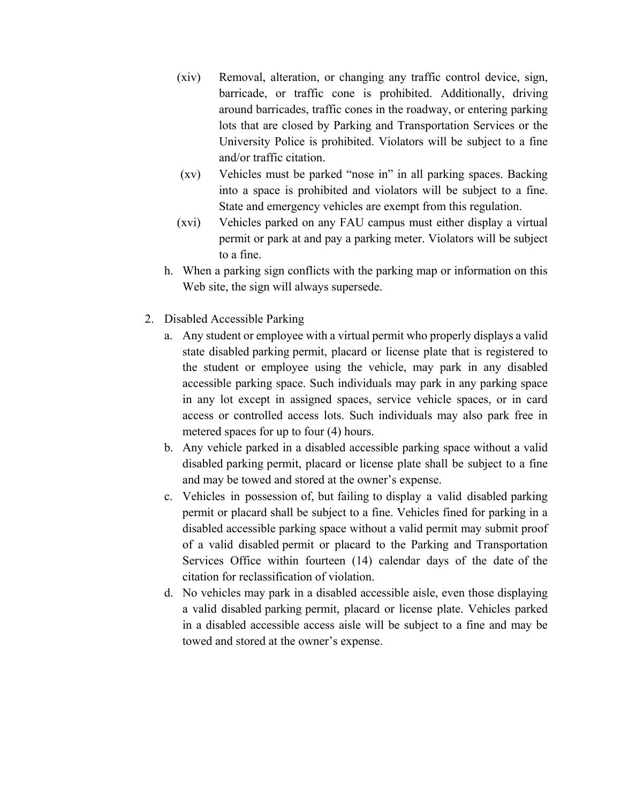- (xiv) Removal, alteration, or changing any traffic control device, sign, barricade, or traffic cone is prohibited. Additionally, driving around barricades, traffic cones in the roadway, or entering parking lots that are closed by Parking and Transportation Services or the University Police is prohibited. Violators will be subject to a fine and/or traffic citation.
- (xv) Vehicles must be parked "nose in" in all parking spaces. Backing into a space is prohibited and violators will be subject to a fine. State and emergency vehicles are exempt from this regulation.
- (xvi) Vehicles parked on any FAU campus must either display a virtual permit or park at and pay a parking meter. Violators will be subject to a fine.
- h. When a parking sign conflicts with the parking map or information on this Web site, the sign will always supersede.
- 2. Disabled Accessible Parking
	- a. Any student or employee with a virtual permit who properly displays a valid state disabled parking permit, placard or license plate that is registered to the student or employee using the vehicle, may park in any disabled accessible parking space. Such individuals may park in any parking space in any lot except in assigned spaces, service vehicle spaces, or in card access or controlled access lots. Such individuals may also park free in metered spaces for up to four (4) hours.
	- b. Any vehicle parked in a disabled accessible parking space without a valid disabled parking permit, placard or license plate shall be subject to a fine and may be towed and stored at the owner's expense.
	- c. Vehicles in possession of, but failing to display a valid disabled parking permit or placard shall be subject to a fine. Vehicles fined for parking in a disabled accessible parking space without a valid permit may submit proof of a valid disabled permit or placard to the Parking and Transportation Services Office within fourteen (14) calendar days of the date of the citation for reclassification of violation.
	- d. No vehicles may park in a disabled accessible aisle, even those displaying a valid disabled parking permit, placard or license plate. Vehicles parked in a disabled accessible access aisle will be subject to a fine and may be towed and stored at the owner's expense.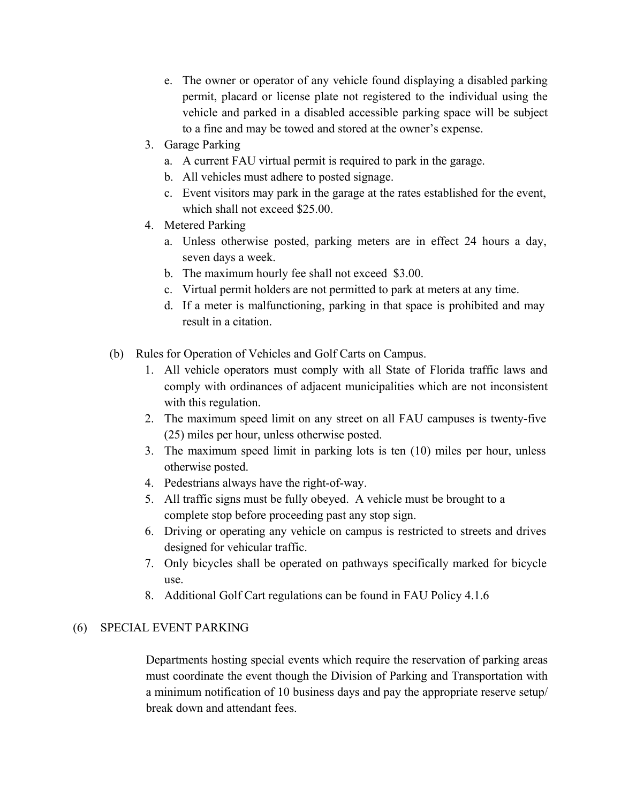- e. The owner or operator of any vehicle found displaying a disabled parking permit, placard or license plate not registered to the individual using the vehicle and parked in a disabled accessible parking space will be subject to a fine and may be towed and stored at the owner's expense.
- 3. Garage Parking
	- a. A current FAU virtual permit is required to park in the garage.
	- b. All vehicles must adhere to posted signage.
	- c. Event visitors may park in the garage at the rates established for the event, which shall not exceed \$25.00.
- 4. Metered Parking
	- a. Unless otherwise posted, parking meters are in effect 24 hours a day, seven days a week.
	- b. The maximum hourly fee shall not exceed \$3.00.
	- c. Virtual permit holders are not permitted to park at meters at any time.
	- d. If a meter is malfunctioning, parking in that space is prohibited and may result in a citation.
- (b) Rules for Operation of Vehicles and Golf Carts on Campus.
	- 1. All vehicle operators must comply with all State of Florida traffic laws and comply with ordinances of adjacent municipalities which are not inconsistent with this regulation.
	- 2. The maximum speed limit on any street on all FAU campuses is twenty-five (25) miles per hour, unless otherwise posted.
	- 3. The maximum speed limit in parking lots is ten (10) miles per hour, unless otherwise posted.
	- 4. Pedestrians always have the right-of-way.
	- 5. All traffic signs must be fully obeyed. A vehicle must be brought to a complete stop before proceeding past any stop sign.
	- 6. Driving or operating any vehicle on campus is restricted to streets and drives designed for vehicular traffic.
	- 7. Only bicycles shall be operated on pathways specifically marked for bicycle use.
	- 8. Additional Golf Cart regulations can be found in FAU Policy 4.1.6

# (6) SPECIAL EVENT PARKING

Departments hosting special events which require the reservation of parking areas must coordinate the event though the Division of Parking and Transportation with a minimum notification of 10 business days and pay the appropriate reserve setup/ break down and attendant fees.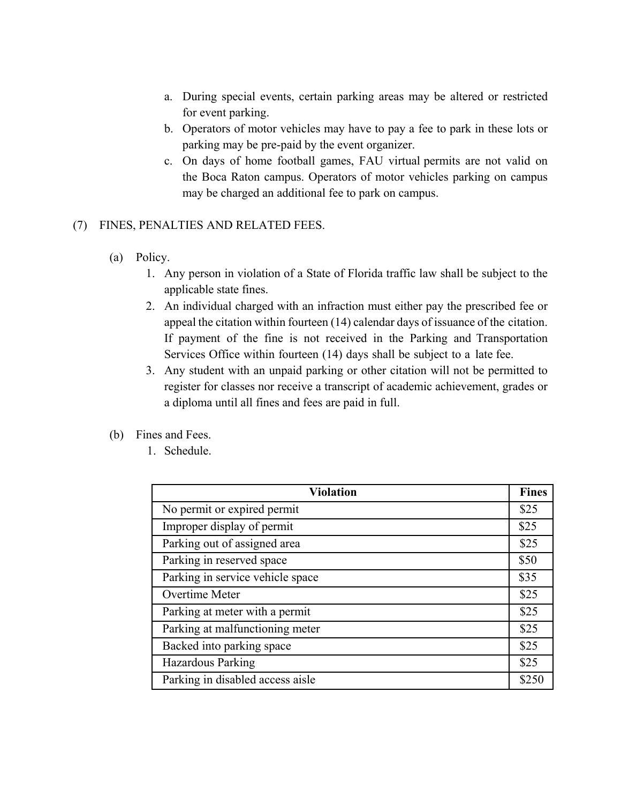- a. During special events, certain parking areas may be altered or restricted for event parking.
- b. Operators of motor vehicles may have to pay a fee to park in these lots or parking may be pre-paid by the event organizer.
- c. On days of home football games, FAU virtual permits are not valid on the Boca Raton campus. Operators of motor vehicles parking on campus may be charged an additional fee to park on campus.

## (7) FINES, PENALTIES AND RELATED FEES.

- (a) Policy.
	- 1. Any person in violation of a State of Florida traffic law shall be subject to the applicable state fines.
	- 2. An individual charged with an infraction must either pay the prescribed fee or appeal the citation within fourteen (14) calendar days of issuance of the citation. If payment of the fine is not received in the Parking and Transportation Services Office within fourteen (14) days shall be subject to a late fee.
	- 3. Any student with an unpaid parking or other citation will not be permitted to register for classes nor receive a transcript of academic achievement, grades or a diploma until all fines and fees are paid in full.
- (b) Fines and Fees.
	- 1. Schedule.

| <b>Violation</b>                 | <b>Fines</b> |
|----------------------------------|--------------|
| No permit or expired permit      | \$25         |
| Improper display of permit       | \$25         |
| Parking out of assigned area     | \$25         |
| Parking in reserved space        | \$50         |
| Parking in service vehicle space | \$35         |
| Overtime Meter                   | \$25         |
| Parking at meter with a permit   | \$25         |
| Parking at malfunctioning meter  | \$25         |
| Backed into parking space        | \$25         |
| <b>Hazardous Parking</b>         | \$25         |
| Parking in disabled access aisle |              |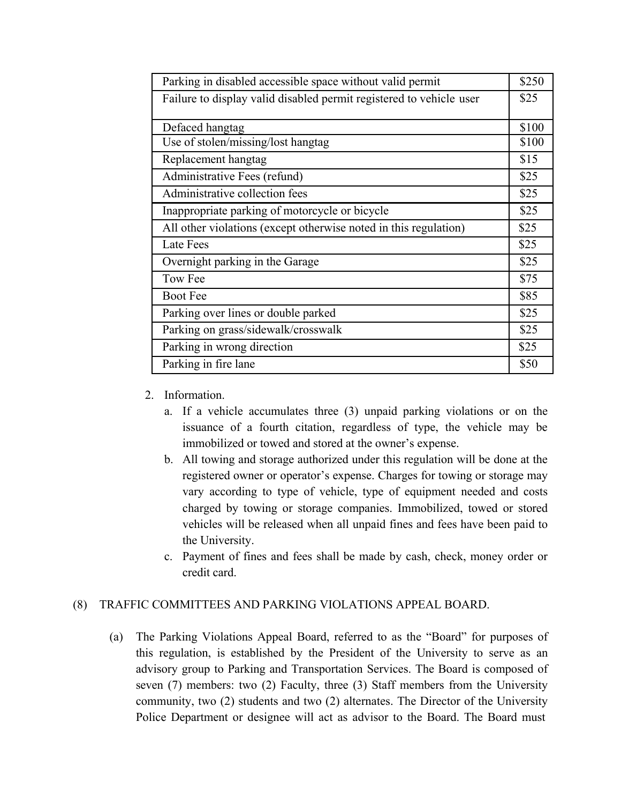| Parking in disabled accessible space without valid permit           | \$250 |
|---------------------------------------------------------------------|-------|
| Failure to display valid disabled permit registered to vehicle user | \$25  |
|                                                                     |       |
| Defaced hangtag                                                     | \$100 |
| Use of stolen/missing/lost hangtag                                  | \$100 |
| Replacement hangtag                                                 | \$15  |
| Administrative Fees (refund)                                        | \$25  |
| Administrative collection fees                                      | \$25  |
| Inappropriate parking of motorcycle or bicycle                      | \$25  |
| All other violations (except otherwise noted in this regulation)    | \$25  |
| Late Fees                                                           | \$25  |
| Overnight parking in the Garage                                     | \$25  |
| Tow Fee                                                             | \$75  |
| <b>Boot Fee</b>                                                     | \$85  |
| Parking over lines or double parked                                 | \$25  |
| Parking on grass/sidewalk/crosswalk                                 | \$25  |
| Parking in wrong direction                                          | \$25  |
| Parking in fire lane                                                | \$50  |

## 2. Information.

- a. If a vehicle accumulates three (3) unpaid parking violations or on the issuance of a fourth citation, regardless of type, the vehicle may be immobilized or towed and stored at the owner's expense.
- b. All towing and storage authorized under this regulation will be done at the registered owner or operator's expense. Charges for towing or storage may vary according to type of vehicle, type of equipment needed and costs charged by towing or storage companies. Immobilized, towed or stored vehicles will be released when all unpaid fines and fees have been paid to the University.
- c. Payment of fines and fees shall be made by cash, check, money order or credit card.

### (8) TRAFFIC COMMITTEES AND PARKING VIOLATIONS APPEAL BOARD.

(a) The Parking Violations Appeal Board, referred to as the "Board" for purposes of this regulation, is established by the President of the University to serve as an advisory group to Parking and Transportation Services. The Board is composed of seven (7) members: two (2) Faculty, three (3) Staff members from the University community, two (2) students and two (2) alternates. The Director of the University Police Department or designee will act as advisor to the Board. The Board must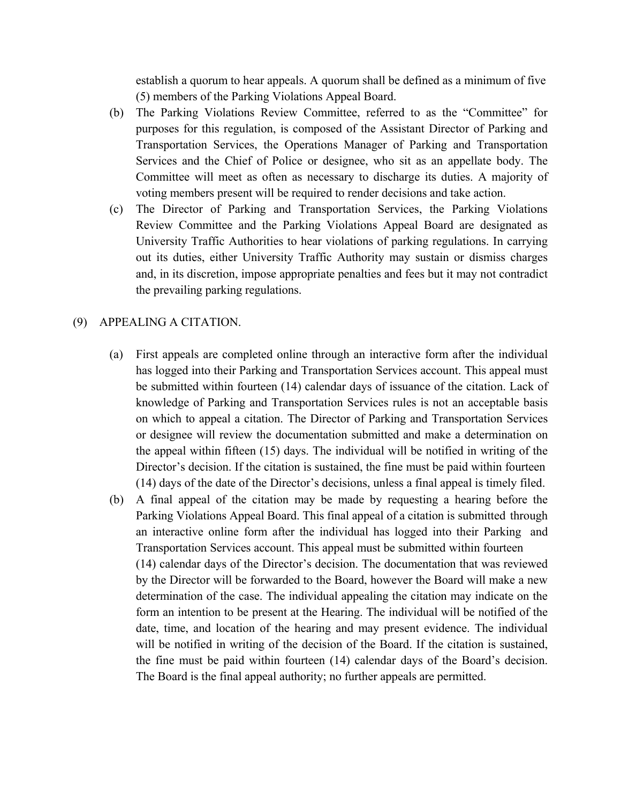establish a quorum to hear appeals. A quorum shall be defined as a minimum of five (5) members of the Parking Violations Appeal Board.

- (b) The Parking Violations Review Committee, referred to as the "Committee" for purposes for this regulation, is composed of the Assistant Director of Parking and Transportation Services, the Operations Manager of Parking and Transportation Services and the Chief of Police or designee, who sit as an appellate body. The Committee will meet as often as necessary to discharge its duties. A majority of voting members present will be required to render decisions and take action.
- (c) The Director of Parking and Transportation Services, the Parking Violations Review Committee and the Parking Violations Appeal Board are designated as University Traffic Authorities to hear violations of parking regulations. In carrying out its duties, either University Traffic Authority may sustain or dismiss charges and, in its discretion, impose appropriate penalties and fees but it may not contradict the prevailing parking regulations.

### (9) APPEALING A CITATION.

- (a) First appeals are completed online through an interactive form after the individual has logged into their Parking and Transportation Services account. This appeal must be submitted within fourteen (14) calendar days of issuance of the citation. Lack of knowledge of Parking and Transportation Services rules is not an acceptable basis on which to appeal a citation. The Director of Parking and Transportation Services or designee will review the documentation submitted and make a determination on the appeal within fifteen (15) days. The individual will be notified in writing of the Director's decision. If the citation is sustained, the fine must be paid within fourteen (14) days of the date of the Director's decisions, unless a final appeal is timely filed.
- (b) A final appeal of the citation may be made by requesting a hearing before the Parking Violations Appeal Board. This final appeal of a citation is submitted through an interactive online form after the individual has logged into their Parking and Transportation Services account. This appeal must be submitted within fourteen (14) calendar days of the Director's decision. The documentation that was reviewed by the Director will be forwarded to the Board, however the Board will make a new determination of the case. The individual appealing the citation may indicate on the form an intention to be present at the Hearing. The individual will be notified of the date, time, and location of the hearing and may present evidence. The individual will be notified in writing of the decision of the Board. If the citation is sustained, the fine must be paid within fourteen (14) calendar days of the Board's decision. The Board is the final appeal authority; no further appeals are permitted.